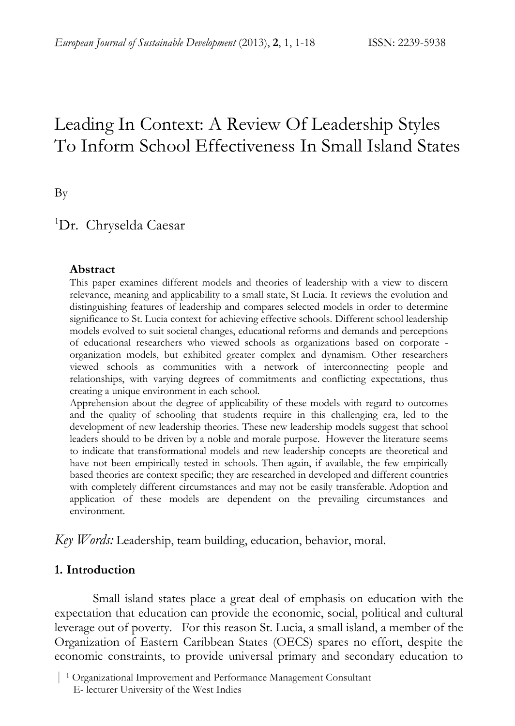# Leading In Context: A Review Of Leadership Styles To Inform School Effectiveness In Small Island States

By

# <sup>1</sup>Dr. Chryselda Caesar

#### **Abstract**

This paper examines different models and theories of leadership with a view to discern relevance, meaning and applicability to a small state, St Lucia. It reviews the evolution and distinguishing features of leadership and compares selected models in order to determine significance to St. Lucia context for achieving effective schools. Different school leadership models evolved to suit societal changes, educational reforms and demands and perceptions of educational researchers who viewed schools as organizations based on corporate organization models, but exhibited greater complex and dynamism. Other researchers viewed schools as communities with a network of interconnecting people and relationships, with varying degrees of commitments and conflicting expectations, thus creating a unique environment in each school.

Apprehension about the degree of applicability of these models with regard to outcomes and the quality of schooling that students require in this challenging era, led to the development of new leadership theories. These new leadership models suggest that school leaders should to be driven by a noble and morale purpose. However the literature seems to indicate that transformational models and new leadership concepts are theoretical and have not been empirically tested in schools. Then again, if available, the few empirically based theories are context specific; they are researched in developed and different countries with completely different circumstances and may not be easily transferable. Adoption and application of these models are dependent on the prevailing circumstances and environment.

*Key Words:* Leadership, team building, education, behavior, moral.

#### **1. Introduction**

Small island states place a great deal of emphasis on education with the expectation that education can provide the economic, social, political and cultural leverage out of poverty. For this reason St. Lucia, a small island, a member of the Organization of Eastern Caribbean States (OECS) spares no effort, despite the economic constraints, to provide universal primary and secondary education to

 <sup>|</sup> 1 Organizational Improvement and Performance Management Consultant E- lecturer University of the West Indies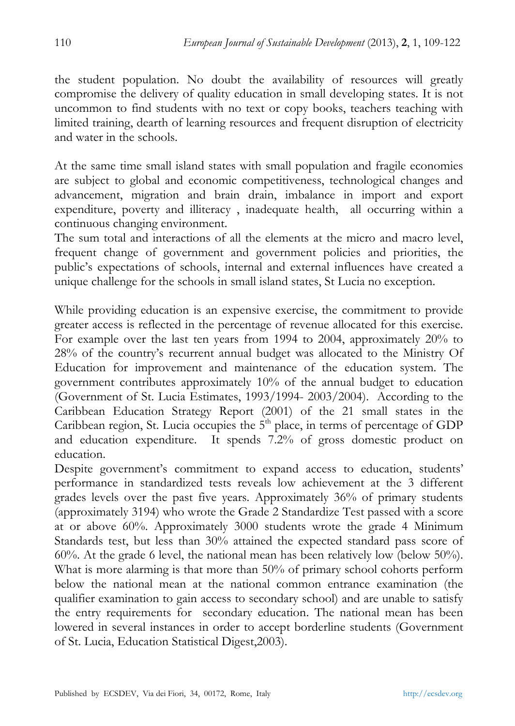the student population. No doubt the availability of resources will greatly compromise the delivery of quality education in small developing states. It is not uncommon to find students with no text or copy books, teachers teaching with limited training, dearth of learning resources and frequent disruption of electricity and water in the schools.

At the same time small island states with small population and fragile economies are subject to global and economic competitiveness, technological changes and advancement, migration and brain drain, imbalance in import and export expenditure, poverty and illiteracy , inadequate health, all occurring within a continuous changing environment.

The sum total and interactions of all the elements at the micro and macro level, frequent change of government and government policies and priorities, the public's expectations of schools, internal and external influences have created a unique challenge for the schools in small island states, St Lucia no exception.

While providing education is an expensive exercise, the commitment to provide greater access is reflected in the percentage of revenue allocated for this exercise. For example over the last ten years from 1994 to 2004, approximately 20% to 28% of the country's recurrent annual budget was allocated to the Ministry Of Education for improvement and maintenance of the education system. The government contributes approximately 10% of the annual budget to education (Government of St. Lucia Estimates, 1993/1994- 2003/2004). According to the Caribbean Education Strategy Report (2001) of the 21 small states in the Caribbean region, St. Lucia occupies the  $5<sup>th</sup>$  place, in terms of percentage of GDP and education expenditure. It spends 7.2% of gross domestic product on education.

Despite government's commitment to expand access to education, students' performance in standardized tests reveals low achievement at the 3 different grades levels over the past five years. Approximately 36% of primary students (approximately 3194) who wrote the Grade 2 Standardize Test passed with a score at or above 60%. Approximately 3000 students wrote the grade 4 Minimum Standards test, but less than 30% attained the expected standard pass score of 60%. At the grade 6 level, the national mean has been relatively low (below 50%). What is more alarming is that more than 50% of primary school cohorts perform below the national mean at the national common entrance examination (the qualifier examination to gain access to secondary school) and are unable to satisfy the entry requirements for secondary education. The national mean has been lowered in several instances in order to accept borderline students (Government of St. Lucia, Education Statistical Digest,2003).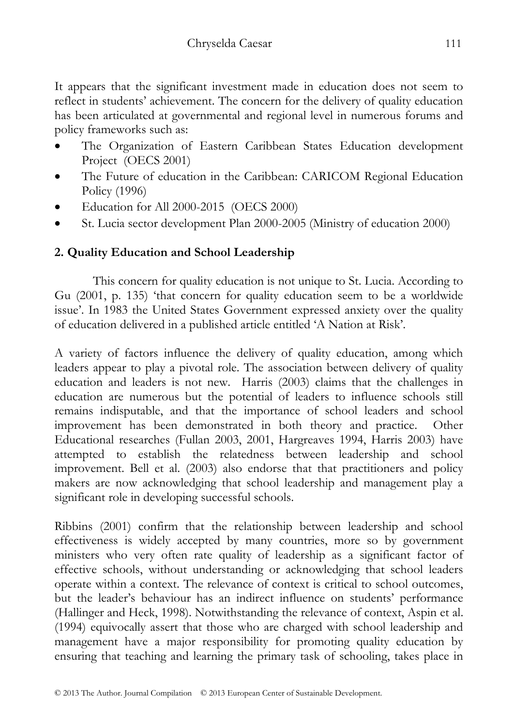It appears that the significant investment made in education does not seem to reflect in students' achievement. The concern for the delivery of quality education has been articulated at governmental and regional level in numerous forums and policy frameworks such as:

- The Organization of Eastern Caribbean States Education development Project (OECS 2001)
- The Future of education in the Caribbean: CARICOM Regional Education Policy (1996)
- Education for All 2000-2015 (OECS 2000)
- St. Lucia sector development Plan 2000-2005 (Ministry of education 2000)

# **2. Quality Education and School Leadership**

This concern for quality education is not unique to St. Lucia. According to Gu (2001, p. 135) 'that concern for quality education seem to be a worldwide issue'. In 1983 the United States Government expressed anxiety over the quality of education delivered in a published article entitled 'A Nation at Risk'.

A variety of factors influence the delivery of quality education, among which leaders appear to play a pivotal role. The association between delivery of quality education and leaders is not new. Harris (2003) claims that the challenges in education are numerous but the potential of leaders to influence schools still remains indisputable, and that the importance of school leaders and school improvement has been demonstrated in both theory and practice. Other Educational researches (Fullan 2003, 2001, Hargreaves 1994, Harris 2003) have attempted to establish the relatedness between leadership and school improvement. Bell et al. (2003) also endorse that that practitioners and policy makers are now acknowledging that school leadership and management play a significant role in developing successful schools.

Ribbins (2001) confirm that the relationship between leadership and school effectiveness is widely accepted by many countries, more so by government ministers who very often rate quality of leadership as a significant factor of effective schools, without understanding or acknowledging that school leaders operate within a context. The relevance of context is critical to school outcomes, but the leader's behaviour has an indirect influence on students' performance (Hallinger and Heck, 1998). Notwithstanding the relevance of context, Aspin et al. (1994) equivocally assert that those who are charged with school leadership and management have a major responsibility for promoting quality education by ensuring that teaching and learning the primary task of schooling, takes place in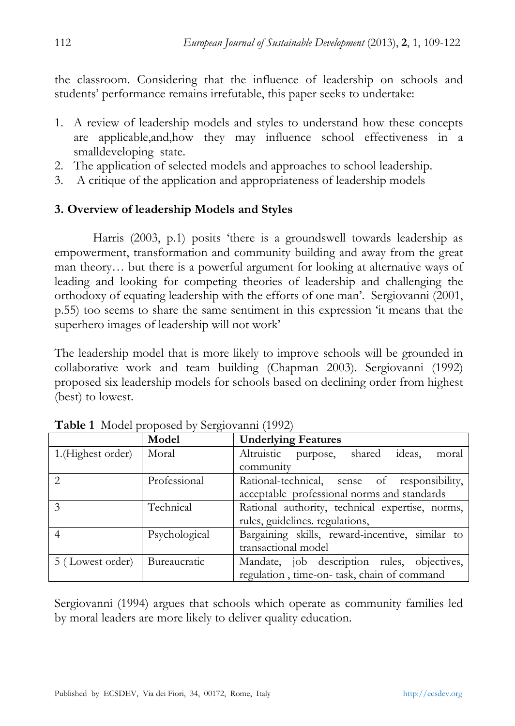the classroom. Considering that the influence of leadership on schools and students' performance remains irrefutable, this paper seeks to undertake:

- 1. A review of leadership models and styles to understand how these concepts are applicable,and,how they may influence school effectiveness in a smalldeveloping state.
- 2. The application of selected models and approaches to school leadership.
- 3. A critique of the application and appropriateness of leadership models

## **3. Overview of leadership Models and Styles**

Harris (2003, p.1) posits 'there is a groundswell towards leadership as empowerment, transformation and community building and away from the great man theory… but there is a powerful argument for looking at alternative ways of leading and looking for competing theories of leadership and challenging the orthodoxy of equating leadership with the efforts of one man'. Sergiovanni (2001, p.55) too seems to share the same sentiment in this expression 'it means that the superhero images of leadership will not work'

The leadership model that is more likely to improve schools will be grounded in collaborative work and team building (Chapman 2003). Sergiovanni (1992) proposed six leadership models for schools based on declining order from highest (best) to lowest.

|                   | Model         | <b>Underlying Features</b>                      |
|-------------------|---------------|-------------------------------------------------|
| 1.(Highest order) | Moral         | Altruistic purpose, shared<br>ideas,<br>moral   |
|                   |               | community                                       |
| $\mathcal{P}$     | Professional  | Rational-technical, sense of responsibility,    |
|                   |               | acceptable professional norms and standards     |
| $\mathcal{E}$     | Technical     | Rational authority, technical expertise, norms, |
|                   |               | rules, guidelines. regulations,                 |
|                   | Psychological | Bargaining skills, reward-incentive, similar to |
|                   |               | transactional model                             |
| 5 (Lowest order)  | Bureaucratic  | Mandate, job description rules, objectives,     |
|                   |               | regulation, time-on- task, chain of command     |

**Table 1** Model proposed by Sergiovanni (1992)

Sergiovanni (1994) argues that schools which operate as community families led by moral leaders are more likely to deliver quality education.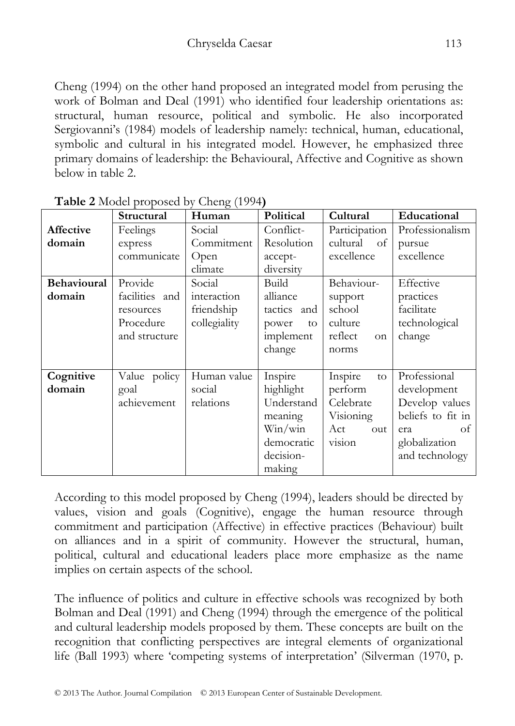Cheng (1994) on the other hand proposed an integrated model from perusing the work of Bolman and Deal (1991) who identified four leadership orientations as: structural, human resource, political and symbolic. He also incorporated Sergiovanni's (1984) models of leadership namely: technical, human, educational, symbolic and cultural in his integrated model. However, he emphasized three primary domains of leadership: the Behavioural, Affective and Cognitive as shown below in table 2.

|                    | Structural     | ייי ה־<br>Human | Political   | Cultural      | Educational       |
|--------------------|----------------|-----------------|-------------|---------------|-------------------|
| Affective          | Feelings       | Social          | Conflict-   | Participation | Professionalism   |
| domain             | express        | Commitment      | Resolution  | cultural of   | pursue            |
|                    | communicate    | Open            | accept-     | excellence    | excellence        |
|                    |                | climate         | diversity   |               |                   |
| <b>Behavioural</b> | Provide        | Social          | Build       | Behaviour-    | Effective         |
| domain             | facilities and | interaction     | alliance    | support       | practices         |
|                    | resources      | friendship      | tactics and | school        | facilitate        |
|                    | Procedure      | collegiality    | power<br>to | culture       | technological     |
|                    | and structure  |                 | implement   | reflect<br>on | change            |
|                    |                |                 | change      | norms         |                   |
|                    |                |                 |             |               |                   |
| Cognitive          | Value policy   | Human value     | Inspire     | Inspire<br>to | Professional      |
| domain             | goal           | social          | highlight   | perform       | development       |
|                    | achievement    | relations       | Understand  | Celebrate     | Develop values    |
|                    |                |                 | meaning     | Visioning     | beliefs to fit in |
|                    |                |                 | Win/win     | Act<br>out    | of<br>era         |
|                    |                |                 | democratic  | vision        | globalization     |
|                    |                |                 | decision-   |               | and technology    |
|                    |                |                 | making      |               |                   |

|  | Table 2 Model proposed by Cheng (1994) |  |
|--|----------------------------------------|--|
|--|----------------------------------------|--|

According to this model proposed by Cheng (1994), leaders should be directed by values, vision and goals (Cognitive), engage the human resource through commitment and participation (Affective) in effective practices (Behaviour) built on alliances and in a spirit of community. However the structural, human, political, cultural and educational leaders place more emphasize as the name implies on certain aspects of the school.

The influence of politics and culture in effective schools was recognized by both Bolman and Deal (1991) and Cheng (1994) through the emergence of the political and cultural leadership models proposed by them. These concepts are built on the recognition that conflicting perspectives are integral elements of organizational life (Ball 1993) where 'competing systems of interpretation' (Silverman (1970, p.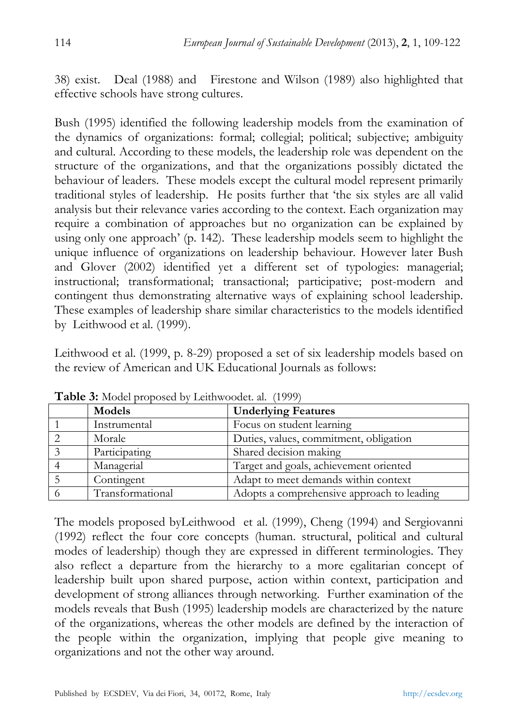38) exist. Deal (1988) and Firestone and Wilson (1989) also highlighted that effective schools have strong cultures.

Bush (1995) identified the following leadership models from the examination of the dynamics of organizations: formal; collegial; political; subjective; ambiguity and cultural. According to these models, the leadership role was dependent on the structure of the organizations, and that the organizations possibly dictated the behaviour of leaders. These models except the cultural model represent primarily traditional styles of leadership. He posits further that 'the six styles are all valid analysis but their relevance varies according to the context. Each organization may require a combination of approaches but no organization can be explained by using only one approach' (p. 142). These leadership models seem to highlight the unique influence of organizations on leadership behaviour. However later Bush and Glover (2002) identified yet a different set of typologies: managerial; instructional; transformational; transactional; participative; post-modern and contingent thus demonstrating alternative ways of explaining school leadership. These examples of leadership share similar characteristics to the models identified by Leithwood et al. (1999).

Leithwood et al. (1999, p. 8-29) proposed a set of six leadership models based on the review of American and UK Educational Journals as follows:

|  | Models           | <b>Underlying Features</b>                 |  |  |  |
|--|------------------|--------------------------------------------|--|--|--|
|  | Instrumental     | Focus on student learning                  |  |  |  |
|  | Morale           | Duties, values, commitment, obligation     |  |  |  |
|  | Participating    | Shared decision making                     |  |  |  |
|  | Managerial       | Target and goals, achievement oriented     |  |  |  |
|  | Contingent       | Adapt to meet demands within context       |  |  |  |
|  | Transformational | Adopts a comprehensive approach to leading |  |  |  |

**Table 3:** Model proposed by Leithwoodet. al. (1999)

The models proposed byLeithwood et al. (1999), Cheng (1994) and Sergiovanni (1992) reflect the four core concepts (human. structural, political and cultural modes of leadership) though they are expressed in different terminologies. They also reflect a departure from the hierarchy to a more egalitarian concept of leadership built upon shared purpose, action within context, participation and development of strong alliances through networking. Further examination of the models reveals that Bush (1995) leadership models are characterized by the nature of the organizations, whereas the other models are defined by the interaction of the people within the organization, implying that people give meaning to organizations and not the other way around.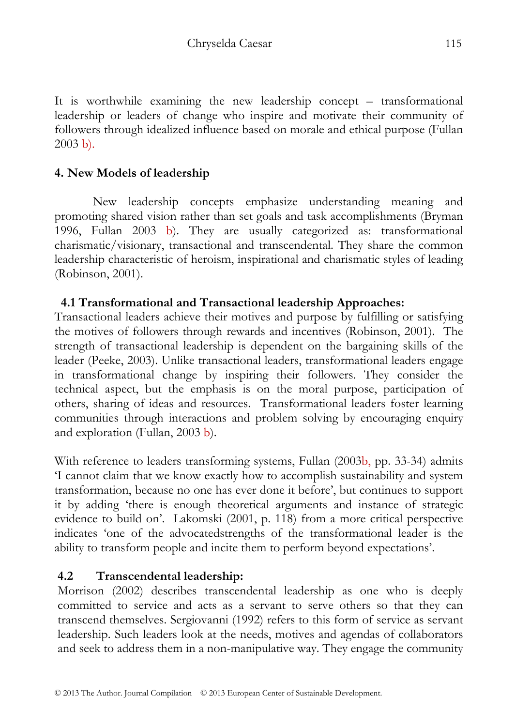It is worthwhile examining the new leadership concept – transformational leadership or leaders of change who inspire and motivate their community of followers through idealized influence based on morale and ethical purpose (Fullan 2003 b).

# **4. New Models of leadership**

New leadership concepts emphasize understanding meaning and promoting shared vision rather than set goals and task accomplishments (Bryman 1996, Fullan 2003 b). They are usually categorized as: transformational charismatic/visionary, transactional and transcendental. They share the common leadership characteristic of heroism, inspirational and charismatic styles of leading (Robinson, 2001).

## **4.1 Transformational and Transactional leadership Approaches:**

Transactional leaders achieve their motives and purpose by fulfilling or satisfying the motives of followers through rewards and incentives (Robinson, 2001). The strength of transactional leadership is dependent on the bargaining skills of the leader (Peeke, 2003). Unlike transactional leaders, transformational leaders engage in transformational change by inspiring their followers. They consider the technical aspect, but the emphasis is on the moral purpose, participation of others, sharing of ideas and resources. Transformational leaders foster learning communities through interactions and problem solving by encouraging enquiry and exploration (Fullan, 2003 b).

With reference to leaders transforming systems, Fullan (2003b, pp. 33-34) admits 'I cannot claim that we know exactly how to accomplish sustainability and system transformation, because no one has ever done it before', but continues to support it by adding 'there is enough theoretical arguments and instance of strategic evidence to build on'. Lakomski (2001, p. 118) from a more critical perspective indicates 'one of the advocatedstrengths of the transformational leader is the ability to transform people and incite them to perform beyond expectations'.

## **4.2 Transcendental leadership:**

Morrison (2002) describes transcendental leadership as one who is deeply committed to service and acts as a servant to serve others so that they can transcend themselves. Sergiovanni (1992) refers to this form of service as servant leadership. Such leaders look at the needs, motives and agendas of collaborators and seek to address them in a non-manipulative way. They engage the community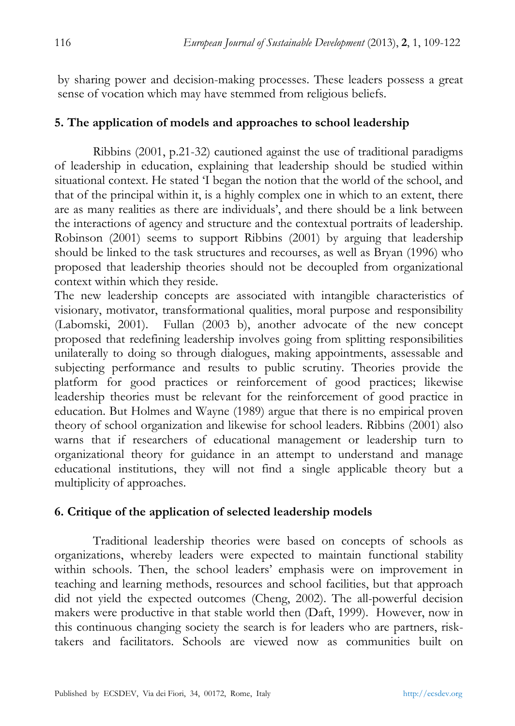by sharing power and decision-making processes. These leaders possess a great sense of vocation which may have stemmed from religious beliefs.

## **5. The application of models and approaches to school leadership**

Ribbins (2001, p.21-32) cautioned against the use of traditional paradigms of leadership in education, explaining that leadership should be studied within situational context. He stated 'I began the notion that the world of the school, and that of the principal within it, is a highly complex one in which to an extent, there are as many realities as there are individuals', and there should be a link between the interactions of agency and structure and the contextual portraits of leadership. Robinson (2001) seems to support Ribbins (2001) by arguing that leadership should be linked to the task structures and recourses, as well as Bryan (1996) who proposed that leadership theories should not be decoupled from organizational context within which they reside.

The new leadership concepts are associated with intangible characteristics of visionary, motivator, transformational qualities, moral purpose and responsibility (Labomski, 2001). Fullan (2003 b), another advocate of the new concept proposed that redefining leadership involves going from splitting responsibilities unilaterally to doing so through dialogues, making appointments, assessable and subjecting performance and results to public scrutiny. Theories provide the platform for good practices or reinforcement of good practices; likewise leadership theories must be relevant for the reinforcement of good practice in education. But Holmes and Wayne (1989) argue that there is no empirical proven theory of school organization and likewise for school leaders. Ribbins (2001) also warns that if researchers of educational management or leadership turn to organizational theory for guidance in an attempt to understand and manage educational institutions, they will not find a single applicable theory but a multiplicity of approaches.

## **6. Critique of the application of selected leadership models**

Traditional leadership theories were based on concepts of schools as organizations, whereby leaders were expected to maintain functional stability within schools. Then, the school leaders' emphasis were on improvement in teaching and learning methods, resources and school facilities, but that approach did not yield the expected outcomes (Cheng, 2002). The all-powerful decision makers were productive in that stable world then (Daft, 1999). However, now in this continuous changing society the search is for leaders who are partners, risktakers and facilitators. Schools are viewed now as communities built on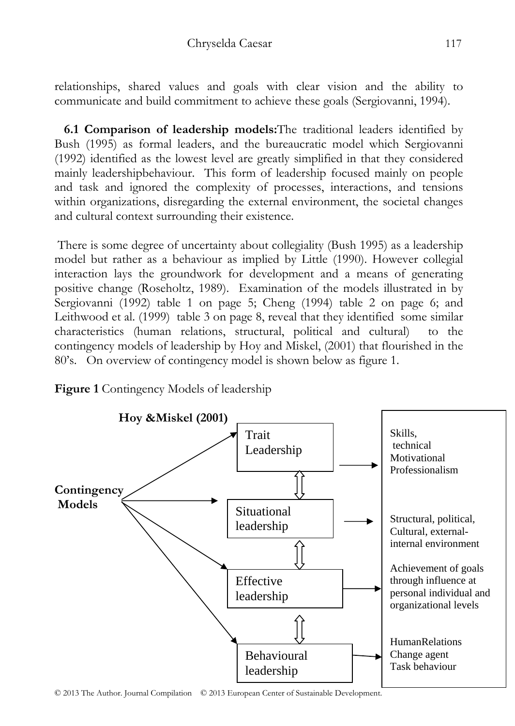relationships, shared values and goals with clear vision and the ability to communicate and build commitment to achieve these goals (Sergiovanni, 1994).

 **6.1 Comparison of leadership models:**The traditional leaders identified by Bush (1995) as formal leaders, and the bureaucratic model which Sergiovanni (1992) identified as the lowest level are greatly simplified in that they considered mainly leadershipbehaviour. This form of leadership focused mainly on people and task and ignored the complexity of processes, interactions, and tensions within organizations, disregarding the external environment, the societal changes and cultural context surrounding their existence.

 There is some degree of uncertainty about collegiality (Bush 1995) as a leadership model but rather as a behaviour as implied by Little (1990). However collegial interaction lays the groundwork for development and a means of generating positive change (Roseholtz, 1989). Examination of the models illustrated in by Sergiovanni (1992) table 1 on page 5; Cheng (1994) table 2 on page 6; and Leithwood et al. (1999) table 3 on page 8, reveal that they identified some similar characteristics (human relations, structural, political and cultural) to the contingency models of leadership by Hoy and Miskel, (2001) that flourished in the 80's. On overview of contingency model is shown below as figure 1.





© 2013 The Author. Journal Compilation © 2013 European Center of Sustainable Development.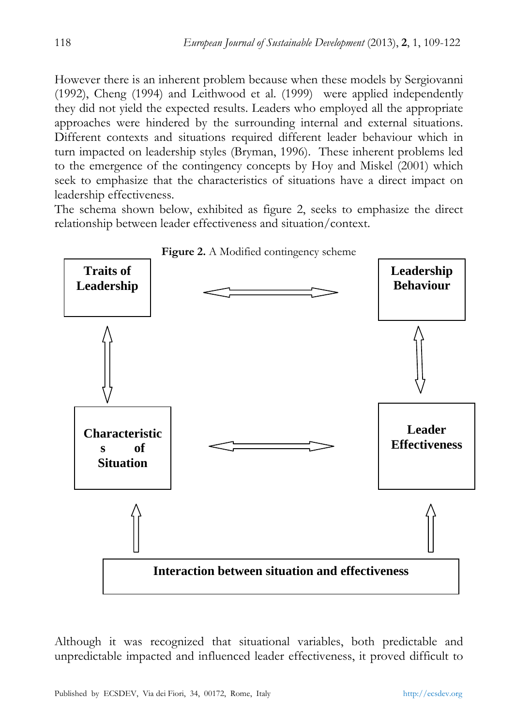However there is an inherent problem because when these models by Sergiovanni (1992), Cheng (1994) and Leithwood et al. (1999) were applied independently they did not yield the expected results. Leaders who employed all the appropriate approaches were hindered by the surrounding internal and external situations. Different contexts and situations required different leader behaviour which in turn impacted on leadership styles (Bryman, 1996). These inherent problems led to the emergence of the contingency concepts by Hoy and Miskel (2001) which seek to emphasize that the characteristics of situations have a direct impact on leadership effectiveness.

The schema shown below, exhibited as figure 2, seeks to emphasize the direct relationship between leader effectiveness and situation/context.



Although it was recognized that situational variables, both predictable and unpredictable impacted and influenced leader effectiveness, it proved difficult to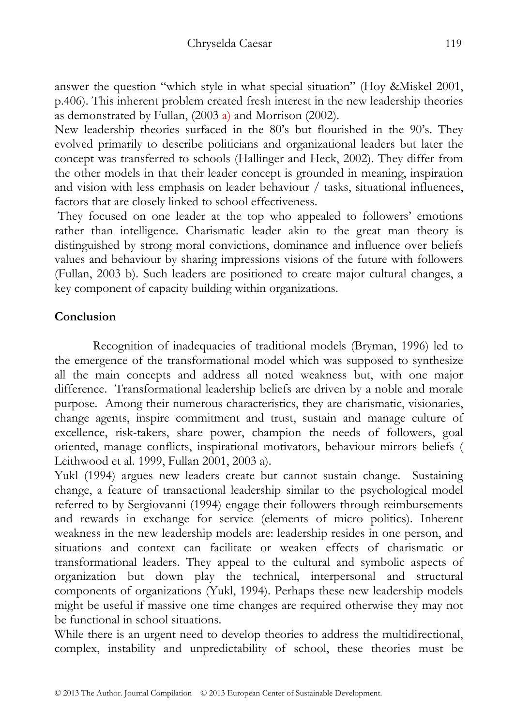answer the question "which style in what special situation" (Hoy &Miskel 2001, p.406). This inherent problem created fresh interest in the new leadership theories as demonstrated by Fullan,  $(2003 a)$  and Morrison  $(2002)$ .

New leadership theories surfaced in the 80's but flourished in the 90's. They evolved primarily to describe politicians and organizational leaders but later the concept was transferred to schools (Hallinger and Heck, 2002). They differ from the other models in that their leader concept is grounded in meaning, inspiration and vision with less emphasis on leader behaviour / tasks, situational influences, factors that are closely linked to school effectiveness.

 They focused on one leader at the top who appealed to followers' emotions rather than intelligence. Charismatic leader akin to the great man theory is distinguished by strong moral convictions, dominance and influence over beliefs values and behaviour by sharing impressions visions of the future with followers (Fullan, 2003 b). Such leaders are positioned to create major cultural changes, a key component of capacity building within organizations.

# **Conclusion**

Recognition of inadequacies of traditional models (Bryman, 1996) led to the emergence of the transformational model which was supposed to synthesize all the main concepts and address all noted weakness but, with one major difference. Transformational leadership beliefs are driven by a noble and morale purpose. Among their numerous characteristics, they are charismatic, visionaries, change agents, inspire commitment and trust, sustain and manage culture of excellence, risk-takers, share power, champion the needs of followers, goal oriented, manage conflicts, inspirational motivators, behaviour mirrors beliefs ( Leithwood et al. 1999, Fullan 2001, 2003 a).

Yukl (1994) argues new leaders create but cannot sustain change. Sustaining change, a feature of transactional leadership similar to the psychological model referred to by Sergiovanni (1994) engage their followers through reimbursements and rewards in exchange for service (elements of micro politics). Inherent weakness in the new leadership models are: leadership resides in one person, and situations and context can facilitate or weaken effects of charismatic or transformational leaders. They appeal to the cultural and symbolic aspects of organization but down play the technical, interpersonal and structural components of organizations (Yukl, 1994). Perhaps these new leadership models might be useful if massive one time changes are required otherwise they may not be functional in school situations.

While there is an urgent need to develop theories to address the multidirectional, complex, instability and unpredictability of school, these theories must be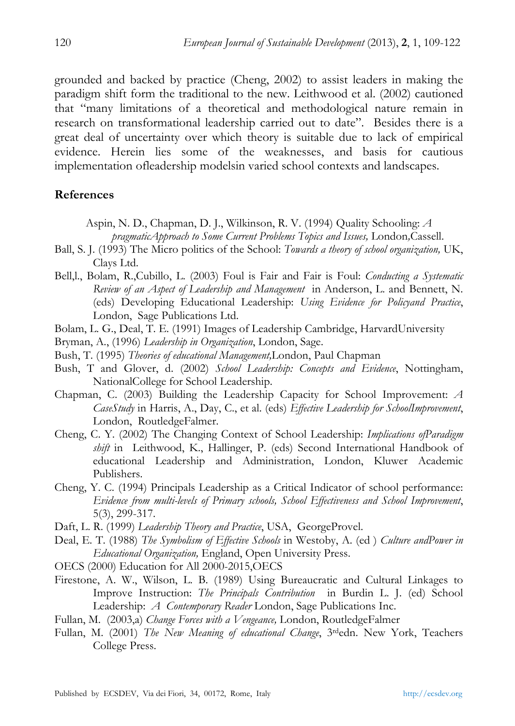grounded and backed by practice (Cheng, 2002) to assist leaders in making the paradigm shift form the traditional to the new. Leithwood et al. (2002) cautioned that "many limitations of a theoretical and methodological nature remain in research on transformational leadership carried out to date". Besides there is a great deal of uncertainty over which theory is suitable due to lack of empirical evidence. Herein lies some of the weaknesses, and basis for cautious implementation ofleadership modelsin varied school contexts and landscapes.

#### **References**

- Aspin, N. D., Chapman, D. J., Wilkinson, R. V. (1994) Quality Schooling: *A pragmaticApproach to Some Current Problems Topics and Issues,* London*,*Cassell.
- Ball, S. J. (1993) The Micro politics of the School: *Towards a theory of school organization,* UK, Clays Ltd.
- Bell,l., Bolam, R.,Cubillo, L. (2003) Foul is Fair and Fair is Foul: *Conducting a Systematic Review of an Aspect of Leadership and Management* in Anderson, L. and Bennett, N. (eds) Developing Educational Leadership: *Using Evidence for Policyand Practice*, London, Sage Publications Ltd.
- Bolam, L. G., Deal, T. E. (1991) Images of Leadership Cambridge, HarvardUniversity
- Bryman, A., (1996) *Leadership in Organization*, London, Sage.
- Bush, T. (1995) *Theories of educational Management,*London, Paul Chapman
- Bush, T and Glover, d. (2002) *School Leadership: Concepts and Evidence*, Nottingham, NationalCollege for School Leadership.
- Chapman, C. (2003) Building the Leadership Capacity for School Improvement: *A CaseStudy* in Harris, A., Day, C., et al. (eds) *Effective Leadership for SchoolImprovement*, London, RoutledgeFalmer.
- Cheng, C. Y. (2002) The Changing Context of School Leadership: *Implications ofParadigm shift* in Leithwood, K., Hallinger, P. (eds) Second International Handbook of educational Leadership and Administration, London, Kluwer Academic Publishers.
- Cheng, Y. C. (1994) Principals Leadership as a Critical Indicator of school performance: *Evidence from multi-levels of Primary schools, School Effectiveness and School Improvement*, 5(3), 299-317.
- Daft, L. R. (1999) *Leadership Theory and Practice*, USA, GeorgeProvel.
- Deal, E. T. (1988) *The Symbolism of Effective Schools* in Westoby, A. (ed ) *Culture andPower in Educational Organization,* England, Open University Press.
- OECS (2000) Education for All 2000-2015,OECS
- Firestone, A. W., Wilson, L. B. (1989) Using Bureaucratic and Cultural Linkages to Improve Instruction: *The Principals Contribution* in Burdin L. J. (ed) School Leadership: *A Contemporary Reader* London, Sage Publications Inc.
- Fullan, M. (2003,a) *Change Forces with a Vengeance,* London, RoutledgeFalmer
- Fullan, M. (2001) *The New Meaning of educational Change*, 3rdedn. New York, Teachers College Press.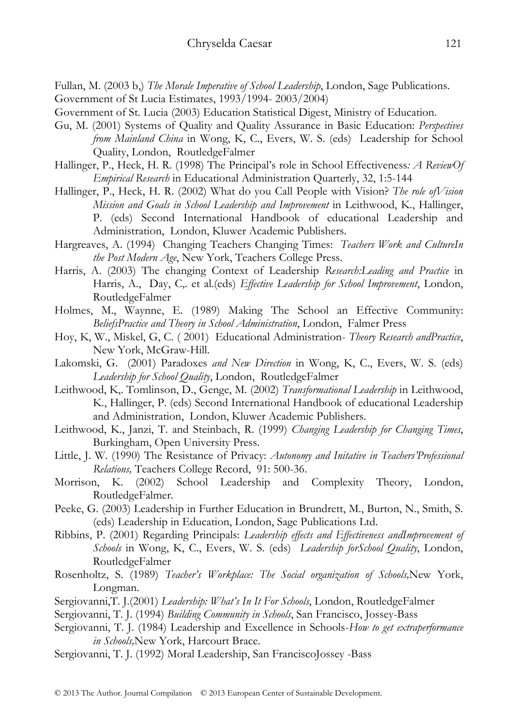- Fullan, M. (2003 b,) *The Morale Imperative of School Leadership*, London, Sage Publications.
- Government of St Lucia Estimates, 1993/1994- 2003/2004)
- Government of St. Lucia (2003) Education Statistical Digest, Ministry of Education.
- Gu, M. (2001) Systems of Quality and Quality Assurance in Basic Education: *Perspectives from Mainland China* in Wong, K, C., Evers, W. S. (eds) Leadership for School Quality, London, RoutledgeFalmer
- Hallinger, P., Heck, H. R. (1998) The Principal's role in School Effectiveness*: A ReviewOf Empirical Research* in Educational Administration Quarterly, 32, 1:5-144
- Hallinger, P., Heck, H. R. (2002) What do you Call People with Vision? *The role ofVision Mission and Goals in School Leadership and Improvement* in Leithwood, K., Hallinger, P. (eds) Second International Handbook of educational Leadership and Administration, London, Kluwer Academic Publishers.
- Hargreaves, A. (1994) Changing Teachers Changing Times: *Teachers Work and CultureIn the Post Modern Age*, New York, Teachers College Press.
- Harris, A. (2003) The changing Context of Leadership *Research:Leading and Practice* in Harris, A., Day, C,. et al.(eds) *Effective Leadership for School Improvement*, London, RoutledgeFalmer
- Holmes, M., Waynne, E. (1989) Making The School an Effective Community: *BeliefsPractice and Theory in School Administration*, London, Falmer Press
- Hoy, K, W., Miskel, G, C. ( 2001) Educational Administration- *Theory Research andPractice*, New York, McGraw-Hill.
- Lakomski, G. (2001) Paradoxes *and New Direction* in Wong, K, C., Evers, W. S. (eds) *Leadership for School Quality*, London, RoutledgeFalmer
- Leithwood, K,. Tomlinson, D., Genge, M. (2002) *Transformational Leadership* in Leithwood, K., Hallinger, P. (eds) Second International Handbook of educational Leadership and Administration, London, Kluwer Academic Publishers.
- Leithwood, K., Janzi, T. and Steinbach, R. (1999) *Changing Leadership for Changing Times*, Burkingham, Open University Press.
- Little, J. W. (1990) The Resistance of Privacy: *Autonomy and Initative in Teachers'Professional Relations,* Teachers College Record, 91: 500-36.
- Morrison, K. (2002) School Leadership and Complexity Theory, London, RoutledgeFalmer.
- Peeke, G. (2003) Leadership in Further Education in Brundrett, M., Burton, N., Smith, S. (eds) Leadership in Education, London, Sage Publications Ltd.
- Ribbins, P. (2001) Regarding Principals: *Leadership effects and Effectiveness andImprovement of Schools* in Wong, K, C., Evers, W. S. (eds) *Leadership forSchool Quality*, London, RoutledgeFalmer
- Rosenholtz, S. (1989) *Teacher's Workplace: The Social organization of Schools,*New York, Longman.
- Sergiovanni,T. J.(2001) *Leadership: What's In It For Schools*, London, RoutledgeFalmer
- Sergiovanni, T. J. (1994) *Building Community in Schools*, San Francisco, Jossey-Bass
- Sergiovanni, T. J. (1984) Leadership and Excellence in Schools-*How to get extraperformance in Schools,*New York, Harcourt Brace.
- Sergiovanni, T. J. (1992) Moral Leadership, San FranciscoJossey -Bass